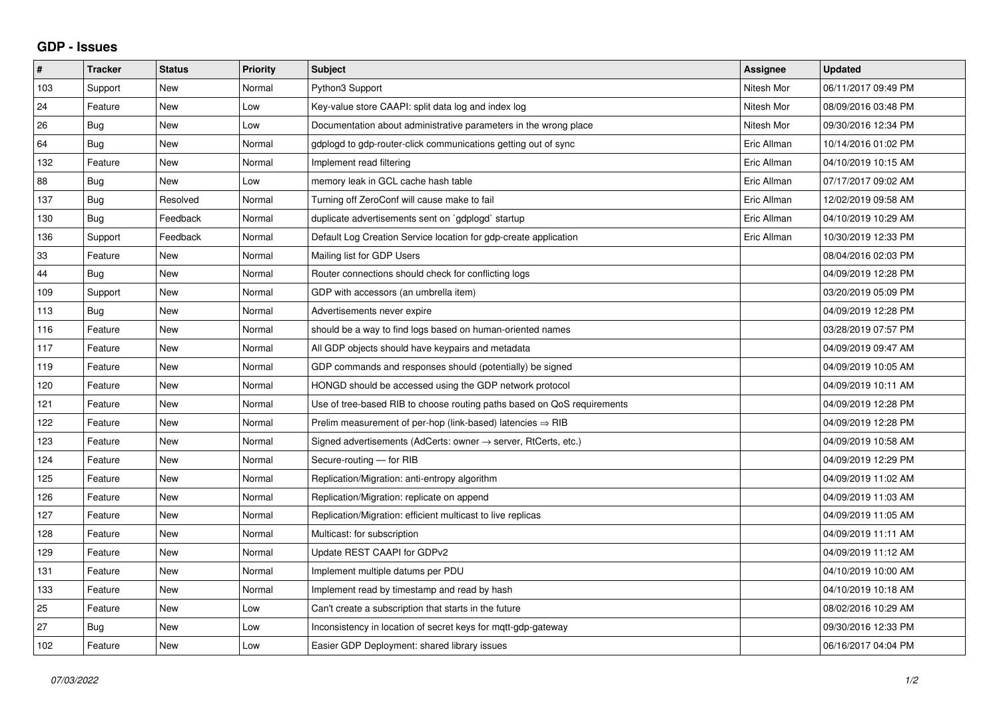## **GDP - Issues**

| $\pmb{\#}$ | <b>Tracker</b> | <b>Status</b> | <b>Priority</b> | <b>Subject</b>                                                          | Assignee    | <b>Updated</b>      |
|------------|----------------|---------------|-----------------|-------------------------------------------------------------------------|-------------|---------------------|
| 103        | Support        | <b>New</b>    | Normal          | Python3 Support                                                         | Nitesh Mor  | 06/11/2017 09:49 PM |
| 24         | Feature        | <b>New</b>    | Low             | Key-value store CAAPI: split data log and index log                     | Nitesh Mor  | 08/09/2016 03:48 PM |
| 26         | <b>Bug</b>     | New           | Low             | Documentation about administrative parameters in the wrong place        | Nitesh Mor  | 09/30/2016 12:34 PM |
| 64         | Bug            | <b>New</b>    | Normal          | gdplogd to gdp-router-click communications getting out of sync          | Eric Allman | 10/14/2016 01:02 PM |
| 132        | Feature        | <b>New</b>    | Normal          | Implement read filtering                                                | Eric Allman | 04/10/2019 10:15 AM |
| 88         | <b>Bug</b>     | New           | Low             | memory leak in GCL cache hash table                                     | Eric Allman | 07/17/2017 09:02 AM |
| 137        | Bug            | Resolved      | Normal          | Turning off ZeroConf will cause make to fail                            | Eric Allman | 12/02/2019 09:58 AM |
| 130        | Bug            | Feedback      | Normal          | duplicate advertisements sent on `gdplogd` startup                      | Eric Allman | 04/10/2019 10:29 AM |
| 136        | Support        | Feedback      | Normal          | Default Log Creation Service location for gdp-create application        | Eric Allman | 10/30/2019 12:33 PM |
| 33         | Feature        | <b>New</b>    | Normal          | Mailing list for GDP Users                                              |             | 08/04/2016 02:03 PM |
| 44         | Bug            | <b>New</b>    | Normal          | Router connections should check for conflicting logs                    |             | 04/09/2019 12:28 PM |
| 109        | Support        | New           | Normal          | GDP with accessors (an umbrella item)                                   |             | 03/20/2019 05:09 PM |
| 113        | <b>Bug</b>     | <b>New</b>    | Normal          | Advertisements never expire                                             |             | 04/09/2019 12:28 PM |
| 116        | Feature        | <b>New</b>    | Normal          | should be a way to find logs based on human-oriented names              |             | 03/28/2019 07:57 PM |
| 117        | Feature        | New           | Normal          | All GDP objects should have keypairs and metadata                       |             | 04/09/2019 09:47 AM |
| 119        | Feature        | <b>New</b>    | Normal          | GDP commands and responses should (potentially) be signed               |             | 04/09/2019 10:05 AM |
| 120        | Feature        | <b>New</b>    | Normal          | HONGD should be accessed using the GDP network protocol                 |             | 04/09/2019 10:11 AM |
| 121        | Feature        | New           | Normal          | Use of tree-based RIB to choose routing paths based on QoS requirements |             | 04/09/2019 12:28 PM |
| 122        | Feature        | <b>New</b>    | Normal          | Prelim measurement of per-hop (link-based) latencies $\Rightarrow$ RIB  |             | 04/09/2019 12:28 PM |
| 123        | Feature        | <b>New</b>    | Normal          | Signed advertisements (AdCerts: owner → server, RtCerts, etc.)          |             | 04/09/2019 10:58 AM |
| 124        | Feature        | <b>New</b>    | Normal          | Secure-routing - for RIB                                                |             | 04/09/2019 12:29 PM |
| 125        | Feature        | <b>New</b>    | Normal          | Replication/Migration: anti-entropy algorithm                           |             | 04/09/2019 11:02 AM |
| 126        | Feature        | <b>New</b>    | Normal          | Replication/Migration: replicate on append                              |             | 04/09/2019 11:03 AM |
| 127        | Feature        | <b>New</b>    | Normal          | Replication/Migration: efficient multicast to live replicas             |             | 04/09/2019 11:05 AM |
| 128        | Feature        | New           | Normal          | Multicast: for subscription                                             |             | 04/09/2019 11:11 AM |
| 129        | Feature        | New           | Normal          | Update REST CAAPI for GDPv2                                             |             | 04/09/2019 11:12 AM |
| 131        | Feature        | <b>New</b>    | Normal          | Implement multiple datums per PDU                                       |             | 04/10/2019 10:00 AM |
| 133        | Feature        | New           | Normal          | Implement read by timestamp and read by hash                            |             | 04/10/2019 10:18 AM |
| 25         | Feature        | <b>New</b>    | Low             | Can't create a subscription that starts in the future                   |             | 08/02/2016 10:29 AM |
| 27         | Bug            | New           | Low             | Inconsistency in location of secret keys for mgtt-gdp-gateway           |             | 09/30/2016 12:33 PM |
| 102        | Feature        | New           | Low             | Easier GDP Deployment: shared library issues                            |             | 06/16/2017 04:04 PM |